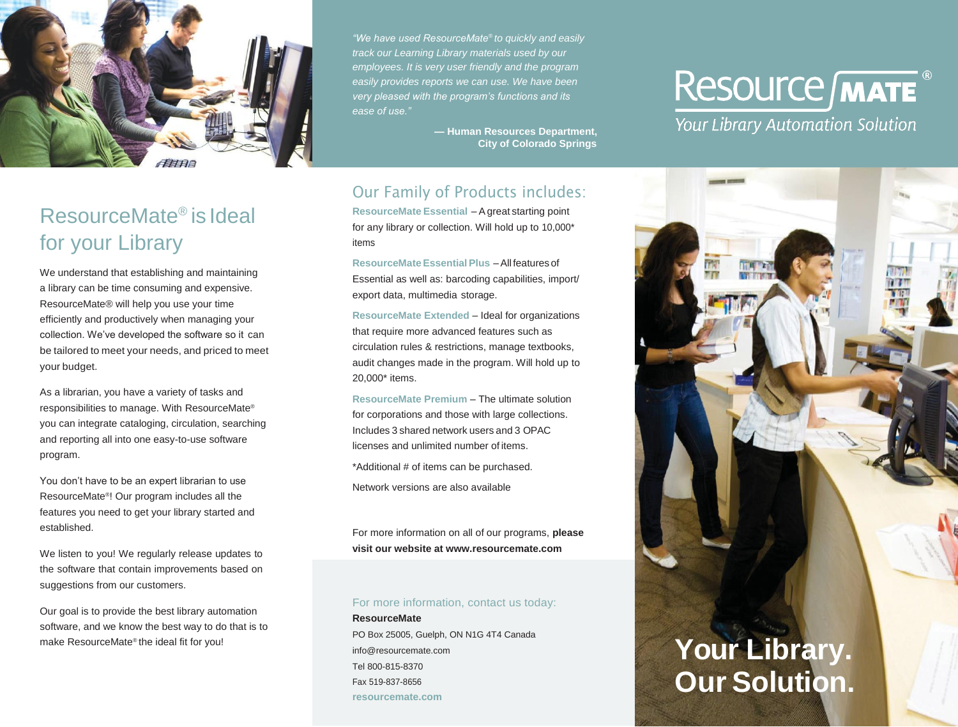

*"We have used ResourceMate® to quickly and easily track our Learning Library materials used by our employees. It is very user friendly and the program easily provides reports we can use. We have been very pleased with the program's functions and its ease of use."*

> **— Human Resources Department, City of Colorado Springs**

### Our Family of Products includes:

**ResourceMate Essential** – Agreat starting point for any library or collection. Will hold up to 10,000\* items

**ResourceMate EssentialPlus** –All features of Essential as well as: barcoding capabilities, import/ export data, multimedia storage.

**ResourceMate Extended** – Ideal for organizations that require more advanced features such as circulation rules & restrictions, manage textbooks, audit changes made in the program. Will hold up to 20,000\* items.

**ResourceMate Premium** – The ultimate solution for corporations and those with large collections. Includes 3 shared network users and 3 OPAC licenses and unlimited number of items. \*Additional # of items can be purchased.

Network versions are also available

For more information on all of our programs, **please visit our website at [www.resourcemate.com](http://www.resourcemate.com/)**

#### For more information, contact us today:

**ResourceMate** PO Box 25005, Guelph, ON N1G 4T4 Canada [info@resourcemate.com](mailto:info@resourcemate.com) Tel 800-815-8370 Fax 519-837-8656 **resourcemate.com**

# **Resource MATE**

**Your Library Automation Solution** 



### ResourceMate® is Ideal for your Library

We understand that establishing and maintaining a library can be time consuming and expensive. ResourceMate® will help you use your time efficiently and productively when managing your collection. We've developed the software so it can be tailored to meet your needs, and priced to meet your budget.

As a librarian, you have a variety of tasks and responsibilities to manage. With ResourceMate® you can integrate cataloging, circulation, searching and reporting all into one easy-to-use software program.

You don't have to be an expert librarian to use ResourceMate® ! Our program includes all the features you need to get your library started and established.

We listen to you! We regularly release updates to the software that contain improvements based on suggestions from our customers.

Our goal is to provide the best library automation software, and we know the best way to do that is to make ResourceMate® the ideal fit for you!